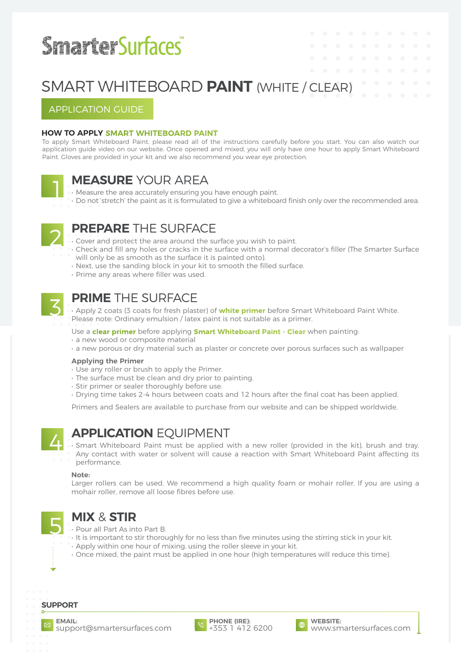# **SmarterSurfaces®**

## APPLICATION GUIDE

## **HOW TO APPLY [SMART W](https://smartersurfaces.com/product/white-whiteboard-paint/?utm_source=Smarter-Surfaces-Application-Guide&utm_medium=referral&utm_campaign=Whiteboard-Paint-Guide)HITEBOARD PAINT**

To apply Smart Whiteboard Paint, please read all of the instructions carefully before you start. You can also watch our application guide video on our website. Once opened and mixed, you will only have one hour to apply Smart Whiteboard Paint. Gloves are provided in your kit and we also recommend you wear eye protection.



## **MEASURE** YOUR AREA<br> **I** • Measure the area accurately ensuring you have enough paint.

• Do not 'stretch' the paint as it is formulated to give a whiteboard finish only over the recommended area.



- **PREPARE** THE SURFACE Cover and protect the area around the surface you wish to paint.
- Check and fill any holes or cracks in the surface with a normal decorator's filler (The Smarter Surface will only be as smooth as the surface it is painted onto).
- Next, use the sanding block in your kit to smooth the filled surface.
- Prime any areas where filler was used.



**PRIME** THE SURFACE<br>• Apply 2 coats (3 coats for fresh plaster) of **[white primer](https://smartersurfaces.com/product/white-primer/)** before Smart Whiteboard Paint White. Please note: Ordinary emulsion / latex paint is not suitable as a primer.

### Use a **[clear primer](https://smartersurfaces.com/product/smart-wall-paint-clear-sealer/)** before applying **[Smart Whiteboard Paint - Clear](https://smartersurfaces.com/product/clear-whiteboard-paint/?utm_source=Smarter-Surfaces-Application-Guide&utm_medium=referral&utm_campaign=Whiteboard-Paint-Guide)** when painting:

- a new wood or composite material
- a new porous or dry material such as plaster or concrete over porous surfaces such as wallpaper

### **Applying the Primer**

- Use any roller or brush to apply the Primer.
- The surface must be clean and dry prior to painting.
- Stir primer or sealer thoroughly before use.
- Drying time takes 2-4 hours between coats and 12 hours after the final coat has been applied.

Primers and Sealers are available to purchase from our website and can be shipped worldwide.



**APPLICATION** EQUIPMENT<br>• Smart Whiteboard Paint must be applied with a new roller (provided in the kit), brush and tray. Any contact with water or solvent will cause a reaction with Smart Whiteboard Paint affecting its performance.

### **Note:**

Larger rollers can be used. We recommend a high quality foam or mohair roller. If you are using a mohair roller, remove all loose fibres before use.



- **MIX & STIR**<br>• Pour all Part As into Part B.
- It is important to stir thoroughly for no less than five minutes using the stirring stick in your kit.
- Apply within one hour of mixing, using the roller sleeve in your kit.
- Once mixed, the paint must be applied in one hour (high temperatures will reduce this time).

## **SUPPORT**